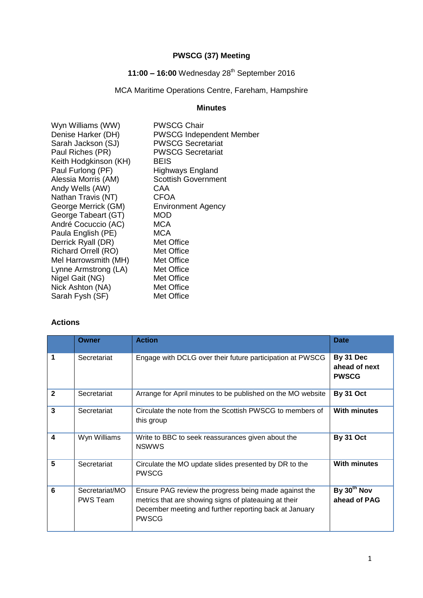# **PWSCG (37) Meeting**

# **11:00 – 16:00** Wednesday 28th September 2016

# MCA Maritime Operations Centre, Fareham, Hampshire

# **Minutes**

| Wyn Williams (WW)          | <b>PWSCG Chair</b>              |
|----------------------------|---------------------------------|
| Denise Harker (DH)         | <b>PWSCG Independent Member</b> |
| Sarah Jackson (SJ)         | <b>PWSCG Secretariat</b>        |
| Paul Riches (PR)           | <b>PWSCG Secretariat</b>        |
| Keith Hodgkinson (KH)      | <b>BEIS</b>                     |
| Paul Furlong (PF)          | Highways England                |
| Alessia Morris (AM)        | <b>Scottish Government</b>      |
| Andy Wells (AW)            | CAA                             |
| Nathan Travis (NT)         | <b>CFOA</b>                     |
| George Merrick (GM)        | <b>Environment Agency</b>       |
| George Tabeart (GT)        | <b>MOD</b>                      |
| André Cocuccio (AC)        | MCA                             |
| Paula English (PE)         | MCA                             |
| Derrick Ryall (DR)         | Met Office                      |
| <b>Richard Orrell (RO)</b> | Met Office                      |
| Mel Harrowsmith (MH)       | Met Office                      |
| Lynne Armstrong (LA)       | Met Office                      |
| Nigel Gait (NG)            | Met Office                      |
| Nick Ashton (NA)           | Met Office                      |
| Sarah Fysh (SF)            | Met Office                      |
|                            |                                 |

## **Actions**

|              | Owner                             | <b>Action</b>                                                                                                                                                                            | <b>Date</b>                                |
|--------------|-----------------------------------|------------------------------------------------------------------------------------------------------------------------------------------------------------------------------------------|--------------------------------------------|
| 1            | Secretariat                       | Engage with DCLG over their future participation at PWSCG                                                                                                                                | By 31 Dec<br>ahead of next<br><b>PWSCG</b> |
| $\mathbf{2}$ | Secretariat                       | Arrange for April minutes to be published on the MO website                                                                                                                              | By 31 Oct                                  |
| 3            | Secretariat                       | Circulate the note from the Scottish PWSCG to members of<br>this group                                                                                                                   | <b>With minutes</b>                        |
| 4            | Wyn Williams                      | Write to BBC to seek reassurances given about the<br><b>NSWWS</b>                                                                                                                        | By 31 Oct                                  |
| 5            | Secretariat                       | Circulate the MO update slides presented by DR to the<br><b>PWSCG</b>                                                                                                                    | <b>With minutes</b>                        |
| 6            | Secretariat/MO<br><b>PWS Team</b> | Ensure PAG review the progress being made against the<br>metrics that are showing signs of plateauing at their<br>December meeting and further reporting back at January<br><b>PWSCG</b> | By 30 <sup>th</sup> Nov<br>ahead of PAG    |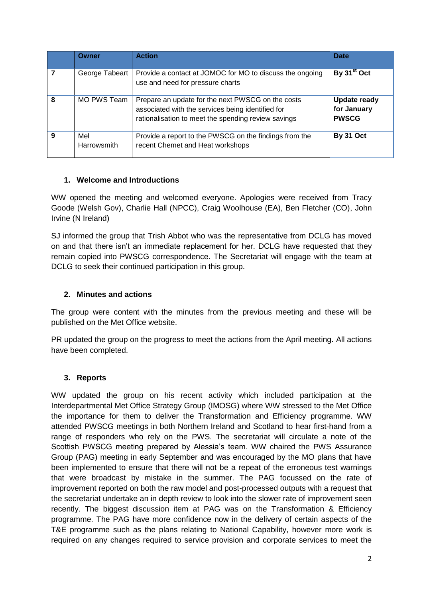|   | Owner              | <b>Action</b>                                                                                                                                                 | Date                                               |
|---|--------------------|---------------------------------------------------------------------------------------------------------------------------------------------------------------|----------------------------------------------------|
|   | George Tabeart     | Provide a contact at JOMOC for MO to discuss the ongoing<br>use and need for pressure charts                                                                  | By 31 <sup>st</sup> Oct                            |
| 8 | MO PWS Team        | Prepare an update for the next PWSCG on the costs<br>associated with the services being identified for<br>rationalisation to meet the spending review savings | <b>Update ready</b><br>for January<br><b>PWSCG</b> |
| 9 | Mel<br>Harrowsmith | Provide a report to the PWSCG on the findings from the<br>recent Chemet and Heat workshops                                                                    | <b>By 31 Oct</b>                                   |

## **1. Welcome and Introductions**

WW opened the meeting and welcomed everyone. Apologies were received from Tracy Goode (Welsh Gov), Charlie Hall (NPCC), Craig Woolhouse (EA), Ben Fletcher (CO), John Irvine (N Ireland)

SJ informed the group that Trish Abbot who was the representative from DCLG has moved on and that there isn't an immediate replacement for her. DCLG have requested that they remain copied into PWSCG correspondence. The Secretariat will engage with the team at DCLG to seek their continued participation in this group.

### **2. Minutes and actions**

The group were content with the minutes from the previous meeting and these will be published on the Met Office website.

PR updated the group on the progress to meet the actions from the April meeting. All actions have been completed.

#### **3. Reports**

WW updated the group on his recent activity which included participation at the Interdepartmental Met Office Strategy Group (IMOSG) where WW stressed to the Met Office the importance for them to deliver the Transformation and Efficiency programme. WW attended PWSCG meetings in both Northern Ireland and Scotland to hear first-hand from a range of responders who rely on the PWS. The secretariat will circulate a note of the Scottish PWSCG meeting prepared by Alessia's team. WW chaired the PWS Assurance Group (PAG) meeting in early September and was encouraged by the MO plans that have been implemented to ensure that there will not be a repeat of the erroneous test warnings that were broadcast by mistake in the summer. The PAG focussed on the rate of improvement reported on both the raw model and post-processed outputs with a request that the secretariat undertake an in depth review to look into the slower rate of improvement seen recently. The biggest discussion item at PAG was on the Transformation & Efficiency programme. The PAG have more confidence now in the delivery of certain aspects of the T&E programme such as the plans relating to National Capability, however more work is required on any changes required to service provision and corporate services to meet the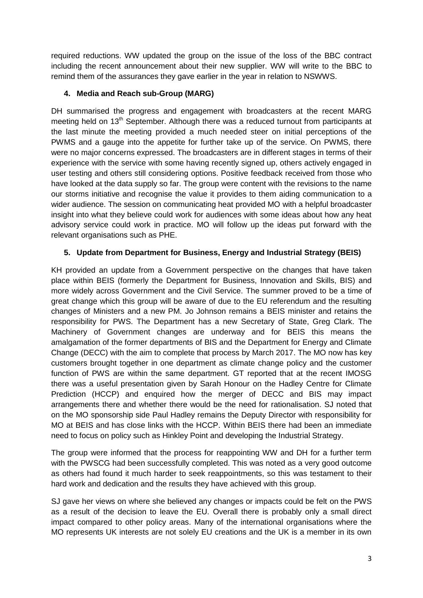required reductions. WW updated the group on the issue of the loss of the BBC contract including the recent announcement about their new supplier. WW will write to the BBC to remind them of the assurances they gave earlier in the year in relation to NSWWS.

## **4. Media and Reach sub-Group (MARG)**

DH summarised the progress and engagement with broadcasters at the recent MARG meeting held on 13<sup>th</sup> September. Although there was a reduced turnout from participants at the last minute the meeting provided a much needed steer on initial perceptions of the PWMS and a gauge into the appetite for further take up of the service. On PWMS, there were no major concerns expressed. The broadcasters are in different stages in terms of their experience with the service with some having recently signed up, others actively engaged in user testing and others still considering options. Positive feedback received from those who have looked at the data supply so far. The group were content with the revisions to the name our storms initiative and recognise the value it provides to them aiding communication to a wider audience. The session on communicating heat provided MO with a helpful broadcaster insight into what they believe could work for audiences with some ideas about how any heat advisory service could work in practice. MO will follow up the ideas put forward with the relevant organisations such as PHE.

## **5. Update from Department for Business, Energy and Industrial Strategy (BEIS)**

KH provided an update from a Government perspective on the changes that have taken place within BEIS (formerly the Department for Business, Innovation and Skills, BIS) and more widely across Government and the Civil Service. The summer proved to be a time of great change which this group will be aware of due to the EU referendum and the resulting changes of Ministers and a new PM. Jo Johnson remains a BEIS minister and retains the responsibility for PWS. The Department has a new Secretary of State, Greg Clark. The Machinery of Government changes are underway and for BEIS this means the amalgamation of the former departments of BIS and the Department for Energy and Climate Change (DECC) with the aim to complete that process by March 2017. The MO now has key customers brought together in one department as climate change policy and the customer function of PWS are within the same department. GT reported that at the recent IMOSG there was a useful presentation given by Sarah Honour on the Hadley Centre for Climate Prediction (HCCP) and enquired how the merger of DECC and BIS may impact arrangements there and whether there would be the need for rationalisation. SJ noted that on the MO sponsorship side Paul Hadley remains the Deputy Director with responsibility for MO at BEIS and has close links with the HCCP. Within BEIS there had been an immediate need to focus on policy such as Hinkley Point and developing the Industrial Strategy.

The group were informed that the process for reappointing WW and DH for a further term with the PWSCG had been successfully completed. This was noted as a very good outcome as others had found it much harder to seek reappointments, so this was testament to their hard work and dedication and the results they have achieved with this group.

SJ gave her views on where she believed any changes or impacts could be felt on the PWS as a result of the decision to leave the EU. Overall there is probably only a small direct impact compared to other policy areas. Many of the international organisations where the MO represents UK interests are not solely EU creations and the UK is a member in its own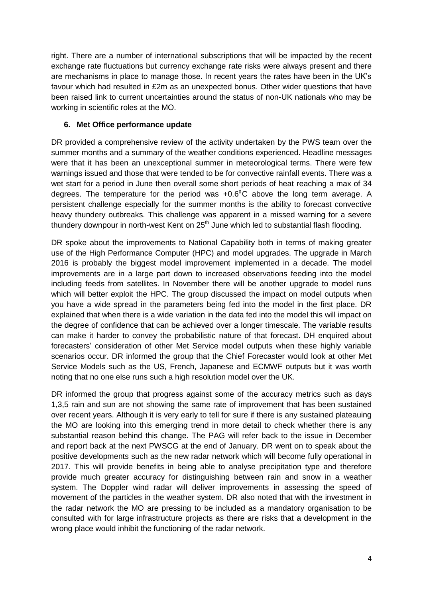right. There are a number of international subscriptions that will be impacted by the recent exchange rate fluctuations but currency exchange rate risks were always present and there are mechanisms in place to manage those. In recent years the rates have been in the UK's favour which had resulted in £2m as an unexpected bonus. Other wider questions that have been raised link to current uncertainties around the status of non-UK nationals who may be working in scientific roles at the MO.

## **6. Met Office performance update**

DR provided a comprehensive review of the activity undertaken by the PWS team over the summer months and a summary of the weather conditions experienced. Headline messages were that it has been an unexceptional summer in meteorological terms. There were few warnings issued and those that were tended to be for convective rainfall events. There was a wet start for a period in June then overall some short periods of heat reaching a max of 34 degrees. The temperature for the period was  $+0.6^{\circ}$ C above the long term average. A persistent challenge especially for the summer months is the ability to forecast convective heavy thundery outbreaks. This challenge was apparent in a missed warning for a severe thundery downpour in north-west Kent on  $25<sup>th</sup>$  June which led to substantial flash flooding.

DR spoke about the improvements to National Capability both in terms of making greater use of the High Performance Computer (HPC) and model upgrades. The upgrade in March 2016 is probably the biggest model improvement implemented in a decade. The model improvements are in a large part down to increased observations feeding into the model including feeds from satellites. In November there will be another upgrade to model runs which will better exploit the HPC. The group discussed the impact on model outputs when you have a wide spread in the parameters being fed into the model in the first place. DR explained that when there is a wide variation in the data fed into the model this will impact on the degree of confidence that can be achieved over a longer timescale. The variable results can make it harder to convey the probabilistic nature of that forecast. DH enquired about forecasters' consideration of other Met Service model outputs when these highly variable scenarios occur. DR informed the group that the Chief Forecaster would look at other Met Service Models such as the US, French, Japanese and ECMWF outputs but it was worth noting that no one else runs such a high resolution model over the UK.

DR informed the group that progress against some of the accuracy metrics such as days 1,3,5 rain and sun are not showing the same rate of improvement that has been sustained over recent years. Although it is very early to tell for sure if there is any sustained plateauing the MO are looking into this emerging trend in more detail to check whether there is any substantial reason behind this change. The PAG will refer back to the issue in December and report back at the next PWSCG at the end of January. DR went on to speak about the positive developments such as the new radar network which will become fully operational in 2017. This will provide benefits in being able to analyse precipitation type and therefore provide much greater accuracy for distinguishing between rain and snow in a weather system. The Doppler wind radar will deliver improvements in assessing the speed of movement of the particles in the weather system. DR also noted that with the investment in the radar network the MO are pressing to be included as a mandatory organisation to be consulted with for large infrastructure projects as there are risks that a development in the wrong place would inhibit the functioning of the radar network.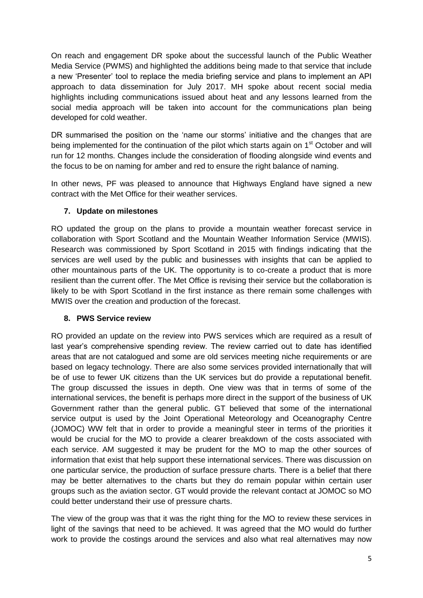On reach and engagement DR spoke about the successful launch of the Public Weather Media Service (PWMS) and highlighted the additions being made to that service that include a new 'Presenter' tool to replace the media briefing service and plans to implement an API approach to data dissemination for July 2017. MH spoke about recent social media highlights including communications issued about heat and any lessons learned from the social media approach will be taken into account for the communications plan being developed for cold weather.

DR summarised the position on the 'name our storms' initiative and the changes that are being implemented for the continuation of the pilot which starts again on 1<sup>st</sup> October and will run for 12 months. Changes include the consideration of flooding alongside wind events and the focus to be on naming for amber and red to ensure the right balance of naming.

In other news, PF was pleased to announce that Highways England have signed a new contract with the Met Office for their weather services.

## **7. Update on milestones**

RO updated the group on the plans to provide a mountain weather forecast service in collaboration with Sport Scotland and the Mountain Weather Information Service (MWIS). Research was commissioned by Sport Scotland in 2015 with findings indicating that the services are well used by the public and businesses with insights that can be applied to other mountainous parts of the UK. The opportunity is to co-create a product that is more resilient than the current offer. The Met Office is revising their service but the collaboration is likely to be with Sport Scotland in the first instance as there remain some challenges with MWIS over the creation and production of the forecast.

## **8. PWS Service review**

RO provided an update on the review into PWS services which are required as a result of last year's comprehensive spending review. The review carried out to date has identified areas that are not catalogued and some are old services meeting niche requirements or are based on legacy technology. There are also some services provided internationally that will be of use to fewer UK citizens than the UK services but do provide a reputational benefit. The group discussed the issues in depth. One view was that in terms of some of the international services, the benefit is perhaps more direct in the support of the business of UK Government rather than the general public. GT believed that some of the international service output is used by the Joint Operational Meteorology and Oceanography Centre (JOMOC) WW felt that in order to provide a meaningful steer in terms of the priorities it would be crucial for the MO to provide a clearer breakdown of the costs associated with each service. AM suggested it may be prudent for the MO to map the other sources of information that exist that help support these international services. There was discussion on one particular service, the production of surface pressure charts. There is a belief that there may be better alternatives to the charts but they do remain popular within certain user groups such as the aviation sector. GT would provide the relevant contact at JOMOC so MO could better understand their use of pressure charts.

The view of the group was that it was the right thing for the MO to review these services in light of the savings that need to be achieved. It was agreed that the MO would do further work to provide the costings around the services and also what real alternatives may now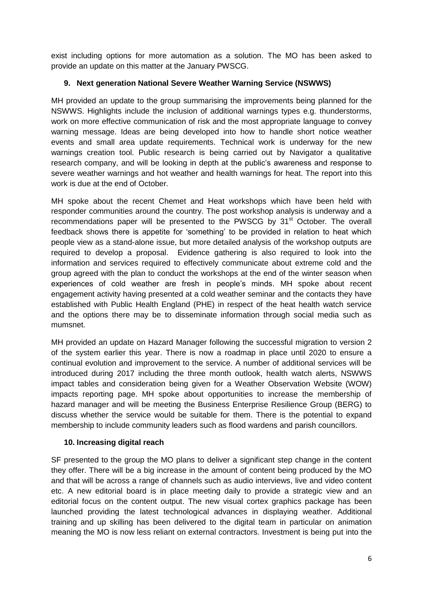exist including options for more automation as a solution. The MO has been asked to provide an update on this matter at the January PWSCG.

## **9. Next generation National Severe Weather Warning Service (NSWWS)**

MH provided an update to the group summarising the improvements being planned for the NSWWS. Highlights include the inclusion of additional warnings types e.g. thunderstorms, work on more effective communication of risk and the most appropriate language to convey warning message. Ideas are being developed into how to handle short notice weather events and small area update requirements. Technical work is underway for the new warnings creation tool. Public research is being carried out by Navigator a qualitative research company, and will be looking in depth at the public's awareness and response to severe weather warnings and hot weather and health warnings for heat. The report into this work is due at the end of October.

MH spoke about the recent Chemet and Heat workshops which have been held with responder communities around the country. The post workshop analysis is underway and a recommendations paper will be presented to the PWSCG by  $31<sup>st</sup>$  October. The overall feedback shows there is appetite for 'something' to be provided in relation to heat which people view as a stand-alone issue, but more detailed analysis of the workshop outputs are required to develop a proposal. Evidence gathering is also required to look into the information and services required to effectively communicate about extreme cold and the group agreed with the plan to conduct the workshops at the end of the winter season when experiences of cold weather are fresh in people's minds. MH spoke about recent engagement activity having presented at a cold weather seminar and the contacts they have established with Public Health England (PHE) in respect of the heat health watch service and the options there may be to disseminate information through social media such as mumsnet.

MH provided an update on Hazard Manager following the successful migration to version 2 of the system earlier this year. There is now a roadmap in place until 2020 to ensure a continual evolution and improvement to the service. A number of additional services will be introduced during 2017 including the three month outlook, health watch alerts, NSWWS impact tables and consideration being given for a Weather Observation Website (WOW) impacts reporting page. MH spoke about opportunities to increase the membership of hazard manager and will be meeting the Business Enterprise Resilience Group (BERG) to discuss whether the service would be suitable for them. There is the potential to expand membership to include community leaders such as flood wardens and parish councillors.

## **10. Increasing digital reach**

SF presented to the group the MO plans to deliver a significant step change in the content they offer. There will be a big increase in the amount of content being produced by the MO and that will be across a range of channels such as audio interviews, live and video content etc. A new editorial board is in place meeting daily to provide a strategic view and an editorial focus on the content output. The new visual cortex graphics package has been launched providing the latest technological advances in displaying weather. Additional training and up skilling has been delivered to the digital team in particular on animation meaning the MO is now less reliant on external contractors. Investment is being put into the